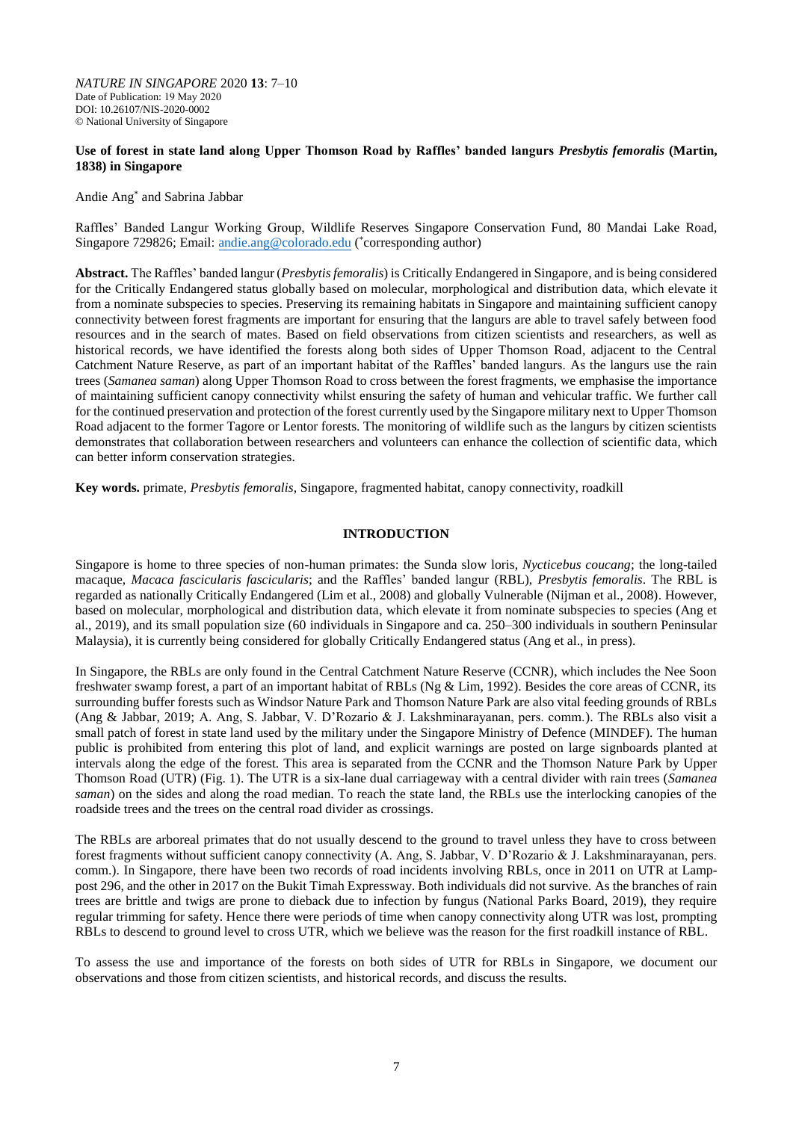*NATURE IN SINGAPORE* 2020 **13**: 7–10 Date of Publication: 19 May 2020 DOI: 10.26107/NIS-2020-0002 © National University of Singapore

### **Use of forest in state land along Upper Thomson Road by Raffles' banded langurs** *Presbytis femoralis* **(Martin, 1838) in Singapore**

#### Andie Ang\* and Sabrina Jabbar

Raffles' Banded Langur Working Group, Wildlife Reserves Singapore Conservation Fund, 80 Mandai Lake Road, Singapore 729826; Email[: andie.ang@colorado.edu](mailto:andie.ang@colorado.edu) (\*corresponding author)

**Abstract.** The Raffles' banded langur (*Presbytis femoralis*) is Critically Endangered in Singapore, and is being considered for the Critically Endangered status globally based on molecular, morphological and distribution data, which elevate it from a nominate subspecies to species. Preserving its remaining habitats in Singapore and maintaining sufficient canopy connectivity between forest fragments are important for ensuring that the langurs are able to travel safely between food resources and in the search of mates. Based on field observations from citizen scientists and researchers, as well as historical records, we have identified the forests along both sides of Upper Thomson Road, adjacent to the Central Catchment Nature Reserve, as part of an important habitat of the Raffles' banded langurs. As the langurs use the rain trees (*Samanea saman*) along Upper Thomson Road to cross between the forest fragments, we emphasise the importance of maintaining sufficient canopy connectivity whilst ensuring the safety of human and vehicular traffic. We further call for the continued preservation and protection of the forest currently used by the Singapore military next to Upper Thomson Road adjacent to the former Tagore or Lentor forests. The monitoring of wildlife such as the langurs by citizen scientists demonstrates that collaboration between researchers and volunteers can enhance the collection of scientific data, which can better inform conservation strategies.

**Key words.** primate, *Presbytis femoralis*, Singapore, fragmented habitat, canopy connectivity, roadkill

# **INTRODUCTION**

Singapore is home to three species of non-human primates: the Sunda slow loris, *Nycticebus coucang*; the long-tailed macaque, *Macaca fascicularis fascicularis*; and the Raffles' banded langur (RBL), *Presbytis femoralis*. The RBL is regarded as nationally Critically Endangered (Lim et al., 2008) and globally Vulnerable (Nijman et al., 2008). However, based on molecular, morphological and distribution data, which elevate it from nominate subspecies to species (Ang et al., 2019), and its small population size (60 individuals in Singapore and ca. 250–300 individuals in southern Peninsular Malaysia), it is currently being considered for globally Critically Endangered status (Ang et al., in press).

In Singapore, the RBLs are only found in the Central Catchment Nature Reserve (CCNR), which includes the Nee Soon freshwater swamp forest, a part of an important habitat of RBLs (Ng & Lim, 1992). Besides the core areas of CCNR, its surrounding buffer forests such as Windsor Nature Park and Thomson Nature Park are also vital feeding grounds of RBLs (Ang & Jabbar, 2019; A. Ang, S. Jabbar, V. D'Rozario & J. Lakshminarayanan, pers. comm.). The RBLs also visit a small patch of forest in state land used by the military under the Singapore Ministry of Defence (MINDEF). The human public is prohibited from entering this plot of land, and explicit warnings are posted on large signboards planted at intervals along the edge of the forest. This area is separated from the CCNR and the Thomson Nature Park by Upper Thomson Road (UTR) (Fig. 1). The UTR is a six-lane dual carriageway with a central divider with rain trees (*Samanea saman*) on the sides and along the road median. To reach the state land, the RBLs use the interlocking canopies of the roadside trees and the trees on the central road divider as crossings.

The RBLs are arboreal primates that do not usually descend to the ground to travel unless they have to cross between forest fragments without sufficient canopy connectivity (A. Ang, S. Jabbar, V. D'Rozario & J. Lakshminarayanan, pers. comm.). In Singapore, there have been two records of road incidents involving RBLs, once in 2011 on UTR at Lamppost 296, and the other in 2017 on the Bukit Timah Expressway. Both individuals did not survive. As the branches of rain trees are brittle and twigs are prone to dieback due to infection by fungus (National Parks Board, 2019), they require regular trimming for safety. Hence there were periods of time when canopy connectivity along UTR was lost, prompting RBLs to descend to ground level to cross UTR, which we believe was the reason for the first roadkill instance of RBL.

To assess the use and importance of the forests on both sides of UTR for RBLs in Singapore, we document our observations and those from citizen scientists, and historical records, and discuss the results.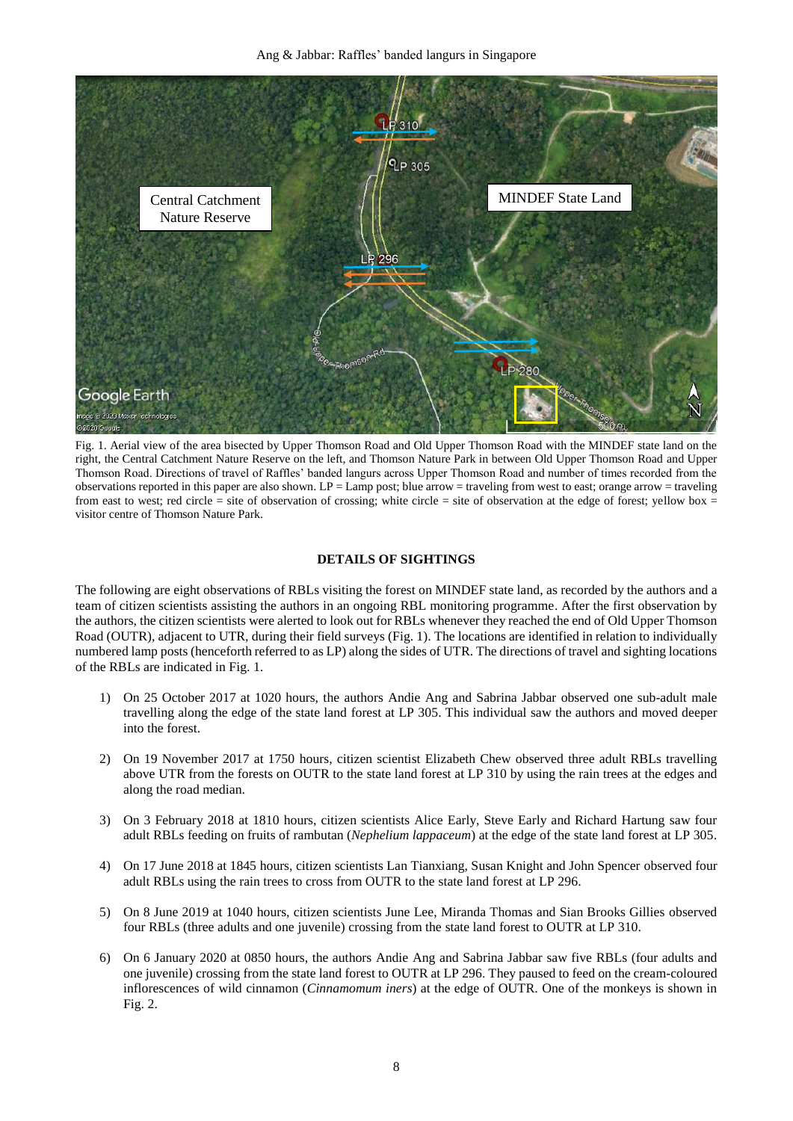Ang & Jabbar: Raffles' banded langurs in Singapore



Fig. 1. Aerial view of the area bisected by Upper Thomson Road and Old Upper Thomson Road with the MINDEF state land on the right, the Central Catchment Nature Reserve on the left, and Thomson Nature Park in between Old Upper Thomson Road and Upper Thomson Road. Directions of travel of Raffles' banded langurs across Upper Thomson Road and number of times recorded from the observations reported in this paper are also shown. LP = Lamp post; blue arrow = traveling from west to east; orange arrow = traveling from east to west; red circle = site of observation of crossing; white circle = site of observation at the edge of forest; yellow box = visitor centre of Thomson Nature Park.

### **DETAILS OF SIGHTINGS**

The following are eight observations of RBLs visiting the forest on MINDEF state land, as recorded by the authors and a team of citizen scientists assisting the authors in an ongoing RBL monitoring programme. After the first observation by the authors, the citizen scientists were alerted to look out for RBLs whenever they reached the end of Old Upper Thomson Road (OUTR), adjacent to UTR, during their field surveys (Fig. 1). The locations are identified in relation to individually numbered lamp posts (henceforth referred to as LP) along the sides of UTR. The directions of travel and sighting locations of the RBLs are indicated in Fig. 1.

- 1) On 25 October 2017 at 1020 hours, the authors Andie Ang and Sabrina Jabbar observed one sub-adult male travelling along the edge of the state land forest at LP 305. This individual saw the authors and moved deeper into the forest.
- 2) On 19 November 2017 at 1750 hours, citizen scientist Elizabeth Chew observed three adult RBLs travelling above UTR from the forests on OUTR to the state land forest at LP 310 by using the rain trees at the edges and along the road median.
- 3) On 3 February 2018 at 1810 hours, citizen scientists Alice Early, Steve Early and Richard Hartung saw four adult RBLs feeding on fruits of rambutan (*Nephelium lappaceum*) at the edge of the state land forest at LP 305.
- 4) On 17 June 2018 at 1845 hours, citizen scientists Lan Tianxiang, Susan Knight and John Spencer observed four adult RBLs using the rain trees to cross from OUTR to the state land forest at LP 296.
- 5) On 8 June 2019 at 1040 hours, citizen scientists June Lee, Miranda Thomas and Sian Brooks Gillies observed four RBLs (three adults and one juvenile) crossing from the state land forest to OUTR at LP 310.
- 6) On 6 January 2020 at 0850 hours, the authors Andie Ang and Sabrina Jabbar saw five RBLs (four adults and one juvenile) crossing from the state land forest to OUTR at LP 296. They paused to feed on the cream-coloured inflorescences of wild cinnamon (*Cinnamomum iners*) at the edge of OUTR. One of the monkeys is shown in Fig. 2.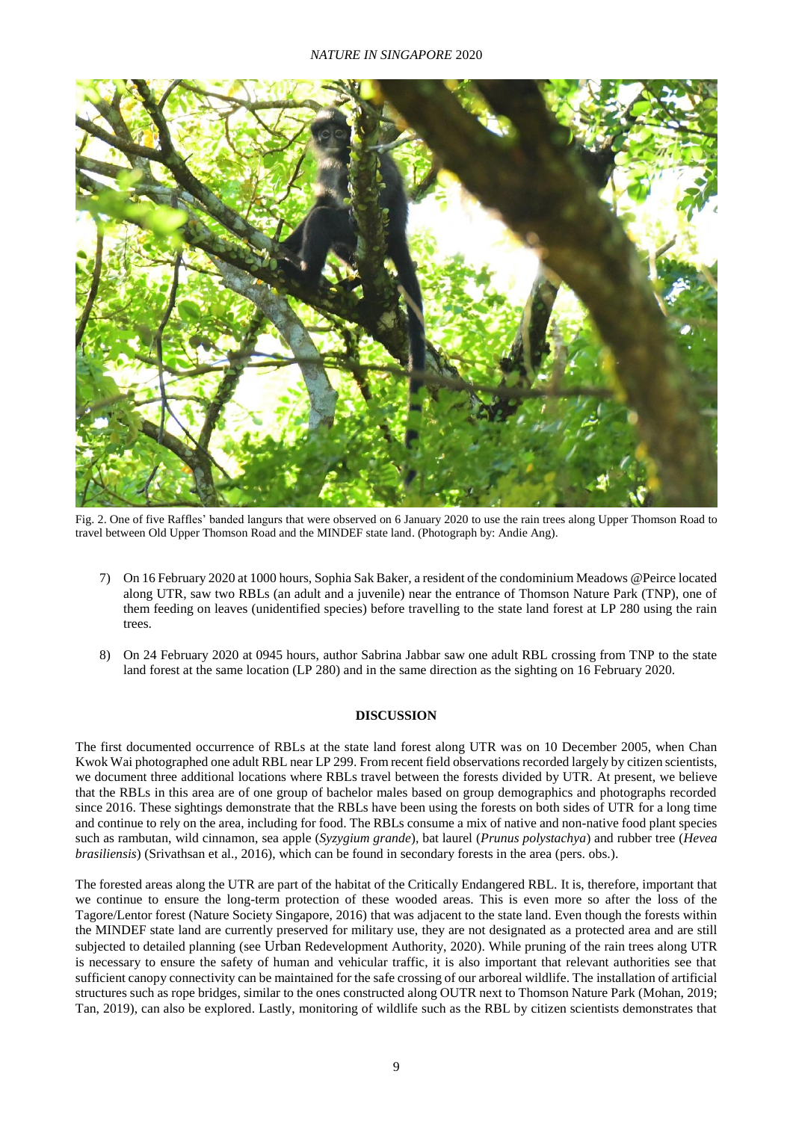

Fig. 2. One of five Raffles' banded langurs that were observed on 6 January 2020 to use the rain trees along Upper Thomson Road to travel between Old Upper Thomson Road and the MINDEF state land. (Photograph by: Andie Ang).

- 7) On 16 February 2020 at 1000 hours, Sophia Sak Baker, a resident of the condominium Meadows @Peirce located along UTR, saw two RBLs (an adult and a juvenile) near the entrance of Thomson Nature Park (TNP), one of them feeding on leaves (unidentified species) before travelling to the state land forest at LP 280 using the rain trees.
- 8) On 24 February 2020 at 0945 hours, author Sabrina Jabbar saw one adult RBL crossing from TNP to the state land forest at the same location (LP 280) and in the same direction as the sighting on 16 February 2020.

## **DISCUSSION**

The first documented occurrence of RBLs at the state land forest along UTR was on 10 December 2005, when Chan Kwok Wai photographed one adult RBL near LP 299. From recent field observations recorded largely by citizen scientists, we document three additional locations where RBLs travel between the forests divided by UTR. At present, we believe that the RBLs in this area are of one group of bachelor males based on group demographics and photographs recorded since 2016. These sightings demonstrate that the RBLs have been using the forests on both sides of UTR for a long time and continue to rely on the area, including for food. The RBLs consume a mix of native and non-native food plant species such as rambutan, wild cinnamon, sea apple (*Syzygium grande*), bat laurel (*Prunus polystachya*) and rubber tree (*Hevea brasiliensis*) (Srivathsan et al., 2016), which can be found in secondary forests in the area (pers. obs.).

The forested areas along the UTR are part of the habitat of the Critically Endangered RBL. It is, therefore, important that we continue to ensure the long-term protection of these wooded areas. This is even more so after the loss of the Tagore/Lentor forest (Nature Society Singapore, 2016) that was adjacent to the state land. Even though the forests within the MINDEF state land are currently preserved for military use, they are not designated as a protected area and are still subjected to detailed planning (see Urban Redevelopment Authority, 2020). While pruning of the rain trees along UTR is necessary to ensure the safety of human and vehicular traffic, it is also important that relevant authorities see that sufficient canopy connectivity can be maintained for the safe crossing of our arboreal wildlife. The installation of artificial structures such as rope bridges, similar to the ones constructed along OUTR next to Thomson Nature Park (Mohan, 2019; Tan, 2019), can also be explored. Lastly, monitoring of wildlife such as the RBL by citizen scientists demonstrates that